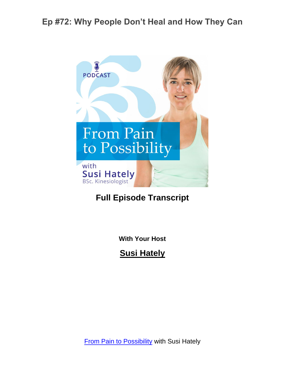

#### **Full Episode Transcript**

**With Your Host**

**Susi Hately**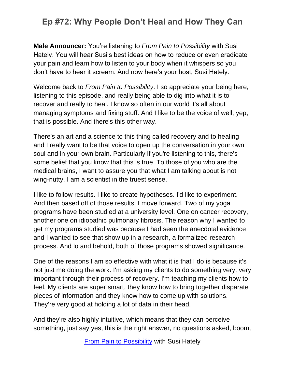**Male Announcer:** You're listening to *From Pain to Possibility* with Susi Hately. You will hear Susi's best ideas on how to reduce or even eradicate your pain and learn how to listen to your body when it whispers so you don't have to hear it scream. And now here's your host, Susi Hately.

Welcome back to *From Pain to Possibility*. I so appreciate your being here, listening to this episode, and really being able to dig into what it is to recover and really to heal. I know so often in our world it's all about managing symptoms and fixing stuff. And I like to be the voice of well, yep, that is possible. And there's this other way.

There's an art and a science to this thing called recovery and to healing and I really want to be that voice to open up the conversation in your own soul and in your own brain. Particularly if you're listening to this, there's some belief that you know that this is true. To those of you who are the medical brains, I want to assure you that what I am talking about is not wing-nutty. I am a scientist in the truest sense.

I like to follow results. I like to create hypotheses. I'd like to experiment. And then based off of those results, I move forward. Two of my yoga programs have been studied at a university level. One on cancer recovery, another one on idiopathic pulmonary fibrosis. The reason why I wanted to get my programs studied was because I had seen the anecdotal evidence and I wanted to see that show up in a research, a formalized research process. And lo and behold, both of those programs showed significance.

One of the reasons I am so effective with what it is that I do is because it's not just me doing the work. I'm asking my clients to do something very, very important through their process of recovery. I'm teaching my clients how to feel. My clients are super smart, they know how to bring together disparate pieces of information and they know how to come up with solutions. They're very good at holding a lot of data in their head.

And they're also highly intuitive, which means that they can perceive something, just say yes, this is the right answer, no questions asked, boom,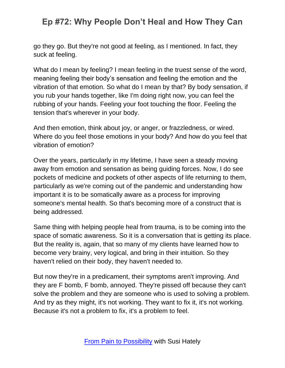go they go. But they're not good at feeling, as I mentioned. In fact, they suck at feeling.

What do I mean by feeling? I mean feeling in the truest sense of the word, meaning feeling their body's sensation and feeling the emotion and the vibration of that emotion. So what do I mean by that? By body sensation, if you rub your hands together, like I'm doing right now, you can feel the rubbing of your hands. Feeling your foot touching the floor. Feeling the tension that's wherever in your body.

And then emotion, think about joy, or anger, or frazzledness, or wired. Where do you feel those emotions in your body? And how do you feel that vibration of emotion?

Over the years, particularly in my lifetime, I have seen a steady moving away from emotion and sensation as being guiding forces. Now, I do see pockets of medicine and pockets of other aspects of life returning to them, particularly as we're coming out of the pandemic and understanding how important it is to be somatically aware as a process for improving someone's mental health. So that's becoming more of a construct that is being addressed.

Same thing with helping people heal from trauma, is to be coming into the space of somatic awareness. So it is a conversation that is getting its place. But the reality is, again, that so many of my clients have learned how to become very brainy, very logical, and bring in their intuition. So they haven't relied on their body, they haven't needed to.

But now they're in a predicament, their symptoms aren't improving. And they are F bomb, F bomb, annoyed. They're pissed off because they can't solve the problem and they are someone who is used to solving a problem. And try as they might, it's not working. They want to fix it, it's not working. Because it's not a problem to fix, it's a problem to feel.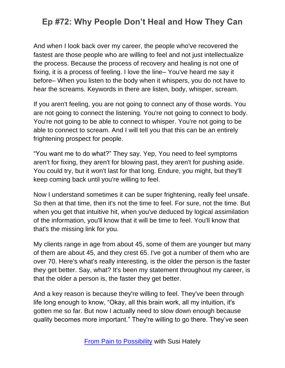And when I look back over my career, the people who've recovered the fastest are those people who are willing to feel and not just intellectualize the process. Because the process of recovery and healing is not one of fixing, it is a process of feeling. I love the line– You've heard me say it before– When you listen to the body when it whispers, you do not have to hear the screams. Keywords in there are listen, body, whisper, scream.

If you aren't feeling, you are not going to connect any of those words. You are not going to connect the listening. You're not going to connect to body. You're not going to be able to connect to whisper. You're not going to be able to connect to scream. And I will tell you that this can be an entirely frightening prospect for people.

"You want me to do what?" They say. Yep, You need to feel symptoms aren't for fixing, they aren't for blowing past, they aren't for pushing aside. You could try, but it won't last for that long. Endure, you might, but they'll keep coming back until you're willing to feel.

Now I understand sometimes it can be super frightening, really feel unsafe. So then at that time, then it's not the time to feel. For sure, not the time. But when you get that intuitive hit, when you've deduced by logical assimilation of the information, you'll know that it will be time to feel. You'll know that that's the missing link for you.

My clients range in age from about 45, some of them are younger but many of them are about 45, and they crest 65. I've got a number of them who are over 70. Here's what's really interesting, is the older the person is the faster they get better. Say, what? It's been my statement throughout my career, is that the older a person is, the faster they get better.

And a key reason is because they're willing to feel. They've been through life long enough to know, "Okay, all this brain work, all my intuition, it's gotten me so far. But now I actually need to slow down enough because quality becomes more important." They're willing to go there. They've seen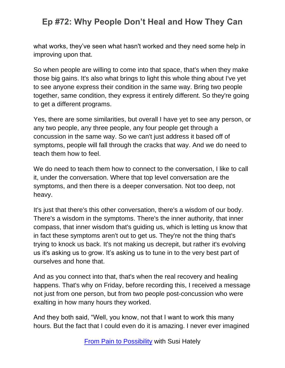what works, they've seen what hasn't worked and they need some help in improving upon that.

So when people are willing to come into that space, that's when they make those big gains. It's also what brings to light this whole thing about I've yet to see anyone express their condition in the same way. Bring two people together, same condition, they express it entirely different. So they're going to get a different programs.

Yes, there are some similarities, but overall I have yet to see any person, or any two people, any three people, any four people get through a concussion in the same way. So we can't just address it based off of symptoms, people will fall through the cracks that way. And we do need to teach them how to feel.

We do need to teach them how to connect to the conversation, I like to call it, under the conversation. Where that top level conversation are the symptoms, and then there is a deeper conversation. Not too deep, not heavy.

It's just that there's this other conversation, there's a wisdom of our body. There's a wisdom in the symptoms. There's the inner authority, that inner compass, that inner wisdom that's guiding us, which is letting us know that in fact these symptoms aren't out to get us. They're not the thing that's trying to knock us back. It's not making us decrepit, but rather it's evolving us it's asking us to grow. It's asking us to tune in to the very best part of ourselves and hone that.

And as you connect into that, that's when the real recovery and healing happens. That's why on Friday, before recording this, I received a message not just from one person, but from two people post-concussion who were exalting in how many hours they worked.

And they both said, "Well, you know, not that I want to work this many hours. But the fact that I could even do it is amazing. I never ever imagined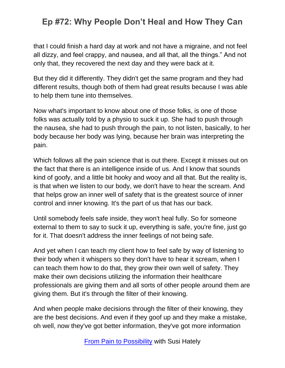that I could finish a hard day at work and not have a migraine, and not feel all dizzy, and feel crappy, and nausea, and all that, all the things." And not only that, they recovered the next day and they were back at it.

But they did it differently. They didn't get the same program and they had different results, though both of them had great results because I was able to help them tune into themselves.

Now what's important to know about one of those folks, is one of those folks was actually told by a physio to suck it up. She had to push through the nausea, she had to push through the pain, to not listen, basically, to her body because her body was lying, because her brain was interpreting the pain.

Which follows all the pain science that is out there. Except it misses out on the fact that there is an intelligence inside of us. And I know that sounds kind of goofy, and a little bit hooky and wooy and all that. But the reality is, is that when we listen to our body, we don't have to hear the scream. And that helps grow an inner well of safety that is the greatest source of inner control and inner knowing. It's the part of us that has our back.

Until somebody feels safe inside, they won't heal fully. So for someone external to them to say to suck it up, everything is safe, you're fine, just go for it. That doesn't address the inner feelings of not being safe.

And yet when I can teach my client how to feel safe by way of listening to their body when it whispers so they don't have to hear it scream, when I can teach them how to do that, they grow their own well of safety. They make their own decisions utilizing the information their healthcare professionals are giving them and all sorts of other people around them are giving them. But it's through the filter of their knowing.

And when people make decisions through the filter of their knowing, they are the best decisions. And even if they goof up and they make a mistake, oh well, now they've got better information, they've got more information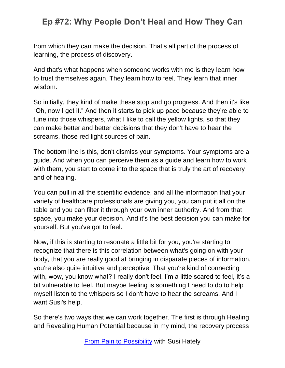from which they can make the decision. That's all part of the process of learning, the process of discovery.

And that's what happens when someone works with me is they learn how to trust themselves again. They learn how to feel. They learn that inner wisdom.

So initially, they kind of make these stop and go progress. And then it's like, "Oh, now I get it." And then it starts to pick up pace because they're able to tune into those whispers, what I like to call the yellow lights, so that they can make better and better decisions that they don't have to hear the screams, those red light sources of pain.

The bottom line is this, don't dismiss your symptoms. Your symptoms are a guide. And when you can perceive them as a guide and learn how to work with them, you start to come into the space that is truly the art of recovery and of healing.

You can pull in all the scientific evidence, and all the information that your variety of healthcare professionals are giving you, you can put it all on the table and you can filter it through your own inner authority. And from that space, you make your decision. And it's the best decision you can make for yourself. But you've got to feel.

Now, if this is starting to resonate a little bit for you, you're starting to recognize that there is this correlation between what's going on with your body, that you are really good at bringing in disparate pieces of information, you're also quite intuitive and perceptive. That you're kind of connecting with, wow, you know what? I really don't feel. I'm a little scared to feel, it's a bit vulnerable to feel. But maybe feeling is something I need to do to help myself listen to the whispers so I don't have to hear the screams. And I want Susi's help.

So there's two ways that we can work together. The first is through Healing and Revealing Human Potential because in my mind, the recovery process